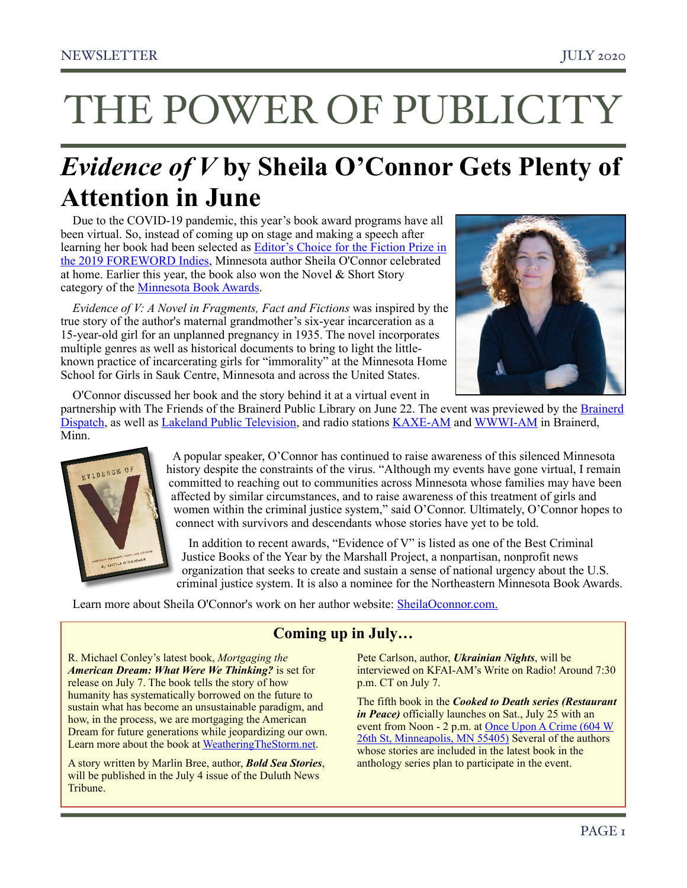## THE POWER OF PUBLICITY

### *Evidence of V* **by Sheila O'Connor Gets Plenty of Attention in June**

Due to the COVID-19 pandemic, this year's book award programs have all been virtual. So, instead of coming up on stage and making a speech after learning her book had been selected as [Editor's Choice for the Fiction Prize in](https://www.forewordreviews.com/awards/winners/2019/)  [the 2019 FOREWORD Indies](https://www.forewordreviews.com/awards/winners/2019/), Minnesota author Sheila O'Connor celebrated at home. Earlier this year, the book also won the Novel & Short Story category of the [Minnesota Book Awards](https://thefriends.org/2020/03/08/36-finalists-blog-sheila-oconnor/).

*Evidence of V: A Novel in Fragments, Fact and Fictions* was inspired by the true story of the author's maternal grandmother's six-year incarceration as a 15-year-old girl for an unplanned pregnancy in 1935. The novel incorporates multiple genres as well as historical documents to bring to light the littleknown practice of incarcerating girls for "immorality" at the Minnesota Home School for Girls in Sauk Centre, Minnesota and across the United States.



O'Connor discussed her book and the story behind it at a virtual event in

partnership with The Friends of the Brainerd Public Library on June 22. The event was previewed by the [Brainerd](https://www.brainerddispatch.com/entertainment/books/6540955-Minnesota-author-to-lead-virtual-event-for-Brainerd-library)  [Dispatch](https://www.brainerddispatch.com/entertainment/books/6540955-Minnesota-author-to-lead-virtual-event-for-Brainerd-library), as well as [Lakeland Public Television](https://youtu.be/ubkYZakphpE), and radio stations [KAXE-AM](http://www.rmapublicity.com/images/stories/Audio/Evidence%20of%20V%20-%20KAXE%20Radio%20Brainerd%20-%20June%2022,%202020.mp3) and [WWWI-AM](http://www.rmapublicity.com/images/stories/Audio/Evidence%20of%20V%20-%20WWWI%20Radio%20Brainerd%20-%20June%2019,%202020.mp3) in Brainerd, Minn.



 A popular speaker, O'Connor has continued to raise awareness of this silenced Minnesota history despite the constraints of the virus. "Although my events have gone virtual, I remain committed to reaching out to communities across Minnesota whose families may have been affected by similar circumstances, and to raise awareness of this treatment of girls and women within the criminal justice system," said O'Connor. Ultimately, O'Connor hopes to connect with survivors and descendants whose stories have yet to be told.

 In addition to recent awards, "Evidence of V" is listed as one of the Best Criminal Justice Books of the Year by the Marshall Project, a nonpartisan, nonprofit news organization that seeks to create and sustain a sense of national urgency about the U.S. criminal justice system. It is also a nominee for the Northeastern Minnesota Book Awards.

Learn more about Sheila O'Connor's work on her author website: [SheilaOconnor.com.](http://www.sheilaoconnor.com/)

#### **Coming up in July…**

R. Michael Conley's latest book, *Mortgaging the American Dream: What Were We Thinking?* is set for release on July 7. The book tells the story of how humanity has systematically borrowed on the future to sustain what has become an unsustainable paradigm, and how, in the process, we are mortgaging the American Dream for future generations while jeopardizing our own. Learn more about the book at [WeatheringTheStorm.net](http://www.weatheringthestorm.net/).

A story written by Marlin Bree, author, *Bold Sea Stories*, will be published in the July 4 issue of the Duluth News Tribune.

Pete Carlson, author, *Ukrainian Nights*, will be interviewed on KFAI-AM's Write on Radio! Around 7:30 p.m. CT on July 7.

The fifth book in the *Cooked to Death series (Restaurant in Peace)* officially launches on Sat., July 25 with an event from Noon - 2 p.m. at [Once Upon A Crime \(604 W](https://onceuponacrimebooks.indielite.org/event/rhonda-gilliland-cooked-death-v-restaurant-peace)  26th St, Minneapolis, MN 55405) Several of the authors whose stories are included in the latest book in the anthology series plan to participate in the event.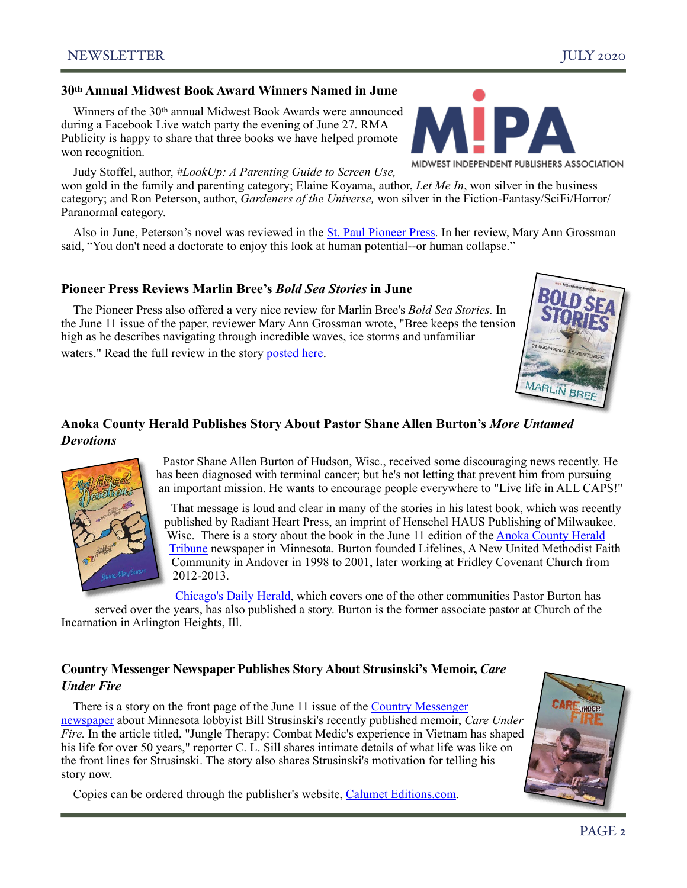#### NEWSLETTER JULY 2020

#### **30th Annual Midwest Book Award Winners Named in June**

Winners of the 30th annual Midwest Book Awards were announced during a Facebook Live watch party the evening of June 27. RMA Publicity is happy to share that three books we have helped promote won recognition.

Judy Stoffel, author, *#LookUp: A Parenting Guide to Screen Use,* won gold in the family and parenting category; Elaine Koyama, author, *Let Me In*, won silver in the business category; and Ron Peterson, author, *Gardeners of the Universe,* won silver in the Fiction-Fantasy/SciFi/Horror/ Paranormal category.

Also in June, Peterson's novel was reviewed in the [St. Paul Pioneer Press.](https://www.twincities.com/2020/06/27/readers-and-writers-some-sci-fi-a-thriller-a-memoir-of-a-murder-and-fantasy-for-your-summer-reading/?fbclid=IwAR1s3A379jLKGGnFDR7tJKmk0y9BjhlAENBUugLRM3EAzj2l3yLlQXpiSl0) In her review, Mary Ann Grossman said, "You don't need a doctorate to enjoy this look at human potential--or human collapse."

#### **Pioneer Press Reviews Marlin Bree's** *Bold Sea Stories* **in June**

The Pioneer Press also offered a very nice review for Marlin Bree's *Bold Sea Stories.* In the June 11 issue of the paper, reviewer Mary Ann Grossman wrote, "Bree keeps the tension high as he describes navigating through incredible waves, ice storms and unfamiliar waters." Read the full review in the story [posted here](https://www.twincities.com/2020/06/06/readers-and-writers-grief-mystery-and-travel-for-your-summer-reading/).

#### **Anoka County Herald Publishes Story About Pastor Shane Allen Burton's** *More Untamed Devotions*

 Pastor Shane Allen Burton of Hudson, Wisc., received some discouraging news recently. He has been diagnosed with terminal cancer; but he's not letting that prevent him from pursuing an important mission. He wants to encourage people everywhere to "Live life in ALL CAPS!"

 That message is loud and clear in many of the stories in his latest book, which was recently published by Radiant Heart Press, an imprint of Henschel HAUS Publishing of Milwaukee, Wisc. There is a story about the book in the June 11 edition of the [Anoka County Herald](https://www.hometownsource.com/abc_newspapers/community/anoka/terminally-ill-pastor-makes-call-to-live-in-all-caps/article_7f86a38e-ac48-11ea-abbe-77c807f52494.html)  [Tribune](https://www.hometownsource.com/abc_newspapers/community/anoka/terminally-ill-pastor-makes-call-to-live-in-all-caps/article_7f86a38e-ac48-11ea-abbe-77c807f52494.html) newspaper in Minnesota. Burton founded Lifelines, A New United Methodist Faith Community in Andover in 1998 to 2001, later working at Fridley Covenant Church from 2012-2013.

[Chicago's Daily Herald](https://www.dailyherald.com/submitted/20200526/former-associate-pastor-at-church-of-the-incarnation-pouring-his-heart-and-soul-into-one-final-mission?fbclid=IwAR0tiUJkN3c2m0EzZk3KEQ9TXnEjrd7hkL_8z3ePZhZbNRHhhK2XitjkUBA), which covers one of the other communities Pastor Burton has

served over the years, has also published a story. Burton is the former associate pastor at Church of the Incarnation in Arlington Heights, Ill.

#### **Country Messenger Newspaper Publishes Story About Strusinski's Memoir,** *Care Under Fire*

There is a story on the front page of the June 11 issue of the [Country Messenger](http://www.countrymessenger.com/news/jungle-therapy/article_4a683ca8-aa63-11ea-ae4c-6bc5f68594ee.html)  [newspaper](http://www.countrymessenger.com/news/jungle-therapy/article_4a683ca8-aa63-11ea-ae4c-6bc5f68594ee.html) about Minnesota lobbyist Bill Strusinski's recently published memoir, *Care Under Fire.* In the article titled, "Jungle Therapy: Combat Medic's experience in Vietnam has shaped his life for over 50 years," reporter C. L. Sill shares intimate details of what life was like on the front lines for Strusinski. The story also shares Strusinski's motivation for telling his story now.

Copies can be ordered through the publisher's website, [Calumet Editions.com.](http://calumeteditions.com/care-under-fire/)





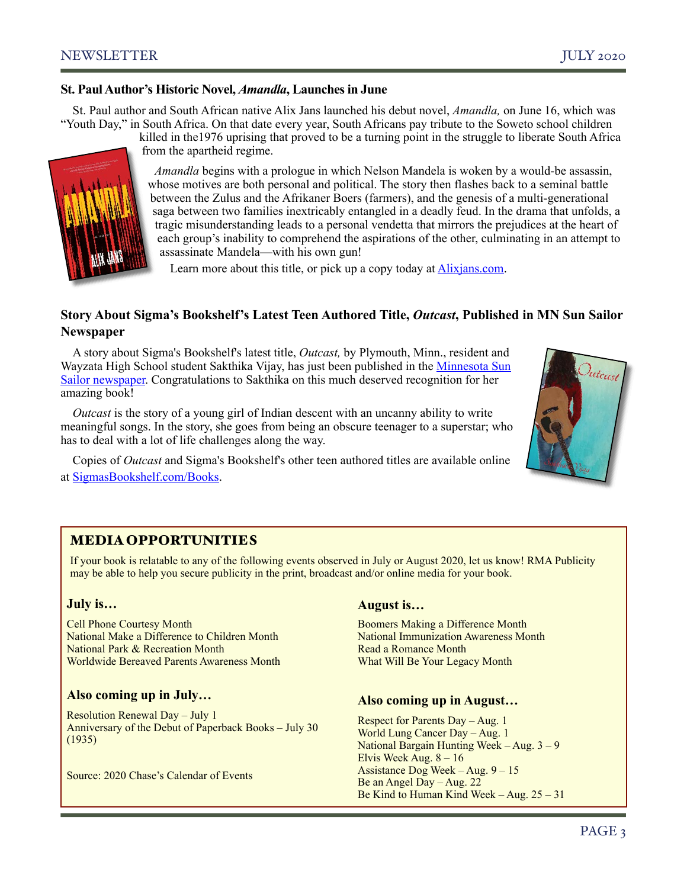#### **St. Paul Author's Historic Novel,** *Amandla***, Launches in June**

St. Paul author and South African native Alix Jans launched his debut novel, *Amandla,* on June 16, which was "Youth Day," in South Africa. On that date every year, South Africans pay tribute to the Soweto school children

killed in the1976 uprising that proved to be a turning point in the struggle to liberate South Africa from the apartheid regime.

 *Amandla* begins with a prologue in which Nelson Mandela is woken by a would-be assassin, whose motives are both personal and political. The story then flashes back to a seminal battle between the Zulus and the Afrikaner Boers (farmers), and the genesis of a multi-generational saga between two families inextricably entangled in a deadly feud. In the drama that unfolds, a tragic misunderstanding leads to a personal vendetta that mirrors the prejudices at the heart of each group's inability to comprehend the aspirations of the other, culminating in an attempt to assassinate Mandela—with his own gun!

Learn more about this title, or pick up a copy today at [Alixjans.com](http://www.alixjans.com/).

#### **Story About Sigma's Bookshelf's Latest Teen Authored Title,** *Outcast***, Published in MN Sun Sailor Newspaper**

A story about Sigma's Bookshelf's latest title, *Outcast,* by Plymouth, Minn., resident and Wayzata High School student Sakthika Vijay, has just been published in the [Minnesota Sun](https://www.hometownsource.com/sun_sailor/community/plymouth_medicinelake/wayzata-high-student-releases-book-through-local-teen-publishing-company/article_ac26c932-a9c8-11ea-8d2f-9f763d94795e.html?fbclid=IwAR1sqKpKBtiJGloFs3fgBuwy0RYr9jojOuzxtT2OAHVDrE6HjAxNj2IcIzY)  [Sailor newspaper.](https://www.hometownsource.com/sun_sailor/community/plymouth_medicinelake/wayzata-high-student-releases-book-through-local-teen-publishing-company/article_ac26c932-a9c8-11ea-8d2f-9f763d94795e.html?fbclid=IwAR1sqKpKBtiJGloFs3fgBuwy0RYr9jojOuzxtT2OAHVDrE6HjAxNj2IcIzY) Congratulations to Sakthika on this much deserved recognition for her amazing book!

*Outcast* is the story of a young girl of Indian descent with an uncanny ability to write meaningful songs. In the story, she goes from being an obscure teenager to a superstar; who has to deal with a lot of life challenges along the way.

Copies of *Outcast* and Sigma's Bookshelf's other teen authored titles are available online at [SigmasBookshelf.com/Books](https://www.sigmasbookshelf.com/books).



#### MEDIA OPPORTUNITIES

If your book is relatable to any of the following events observed in July or August 2020, let us know! RMA Publicity may be able to help you secure publicity in the print, broadcast and/or online media for your book.

#### **July is…**

Cell Phone Courtesy Month National Make a Difference to Children Month National Park & Recreation Month Worldwide Bereaved Parents Awareness Month

#### **Also coming up in July…**

Resolution Renewal Day – July 1 Anniversary of the Debut of Paperback Books – July 30 (1935)

Source: 2020 Chase's Calendar of Events

#### **August is…**

Boomers Making a Difference Month National Immunization Awareness Month Read a Romance Month What Will Be Your Legacy Month

#### **Also coming up in August…**

Respect for Parents Day – Aug. 1 World Lung Cancer Day – Aug. 1 National Bargain Hunting Week – Aug. 3 – 9 Elvis Week Aug. 8 – 16 Assistance Dog Week – Aug. 9 – 15 Be an Angel Day – Aug. 22 Be Kind to Human Kind Week – Aug. 25 – 31